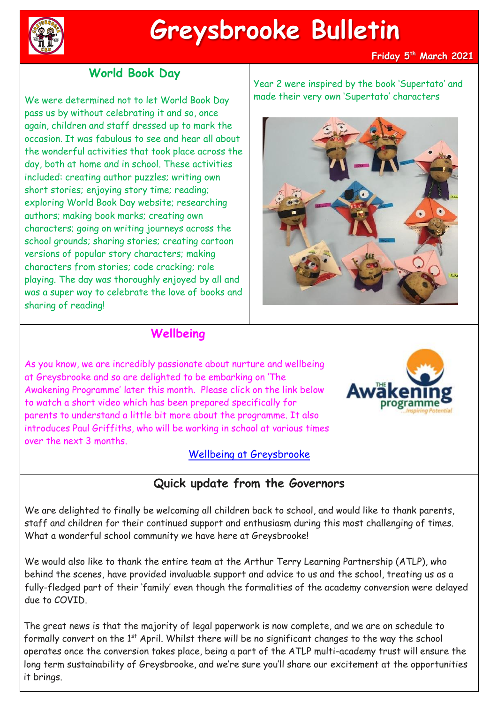

# **Greysbrooke Bulletin**

#### **Friday 5 th March 2021**

## **World Book Day**

We were determined not to let World Book Day pass us by without celebrating it and so, once again, children and staff dressed up to mark the occasion. It was fabulous to see and hear all about the wonderful activities that took place across the day, both at home and in school. These activities included: creating author puzzles; writing own short stories; enjoying story time; reading; exploring World Book Day website; researching authors; making book marks; creating own characters; going on writing journeys across the school grounds; sharing stories; creating cartoon versions of popular story characters; making characters from stories; code cracking; role playing. The day was thoroughly enjoyed by all and was a super way to celebrate the love of books and sharing of reading!

Year 2 were inspired by the book 'Supertato' and made their very own 'Supertato' characters



## **Wellbeing**

As you know, we are incredibly passionate about nurture and wellbeing at Greysbrooke and so are delighted to be embarking on 'The Awakening Programme' later this month. Please click on the link below to watch a short video which has been prepared specifically for parents to understand a little bit more about the programme. It also introduces Paul Griffiths, who will be working in school at various times over the next 3 months.



#### [Wellbeing at Greysbrooke](https://youtu.be/cBGE9i0FxOY)

# **Quick update from the Governors**

We are delighted to finally be welcoming all children back to school, and would like to thank parents, staff and children for their continued support and enthusiasm during this most challenging of times. What a wonderful school community we have here at Greysbrooke!

We would also like to thank the entire team at the Arthur Terry Learning Partnership (ATLP), who behind the scenes, have provided invaluable support and advice to us and the school, treating us as a fully-fledged part of their 'family' even though the formalities of the academy conversion were delayed due to COVID.

The great news is that the majority of legal paperwork is now complete, and we are on schedule to formally convert on the 1<sup>st</sup> April. Whilst there will be no significant changes to the way the school operates once the conversion takes place, being a part of the ATLP multi-academy trust will ensure the long term sustainability of Greysbrooke, and we're sure you'll share our excitement at the opportunities it brings.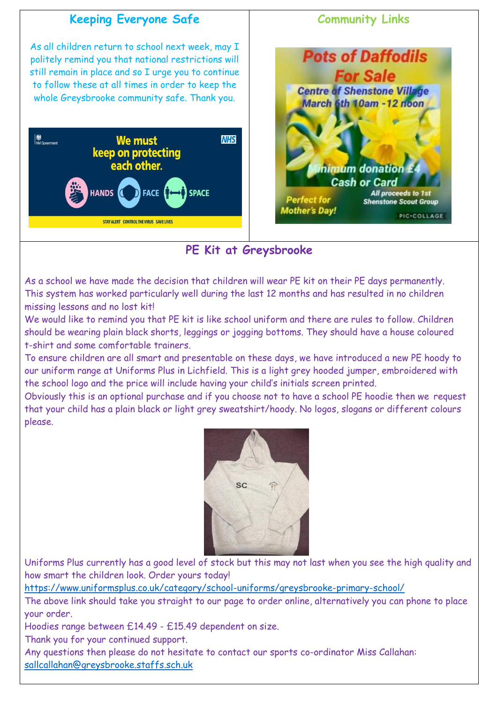

# **PE Kit at Greysbrooke**

As a school we have made the decision that children will wear PE kit on their PE days permanently. This system has worked particularly well during the last 12 months and has resulted in no children missing lessons and no lost kit!

We would like to remind you that PE kit is like school uniform and there are rules to follow. Children should be wearing plain black shorts, leggings or jogging bottoms. They should have a house coloured t-shirt and some comfortable trainers.

To ensure children are all smart and presentable on these days, we have introduced a new PE hoody to our uniform range at Uniforms Plus in Lichfield. This is a light grey hooded jumper, embroidered with the school logo and the price will include having your child's initials screen printed.

Obviously this is an optional purchase and if you choose not to have a school PE hoodie then we request that your child has a plain black or light grey sweatshirt/hoody. No logos, slogans or different colours please.



Uniforms Plus currently has a good level of stock but this may not last when you see the high quality and how smart the children look. Order yours today!

<https://www.uniformsplus.co.uk/category/school-uniforms/greysbrooke-primary-school/>

The above link should take you straight to our page to order online, alternatively you can phone to place your order.

Hoodies range between £14.49 - £15.49 dependent on size.

Thank you for your continued support.

Any questions then please do not hesitate to contact our sports co-ordinator Miss Callahan: [sallcallahan@greysbrooke.staffs.sch.uk](mailto:sallcallahan@greysbrooke.staffs.sch.uk)